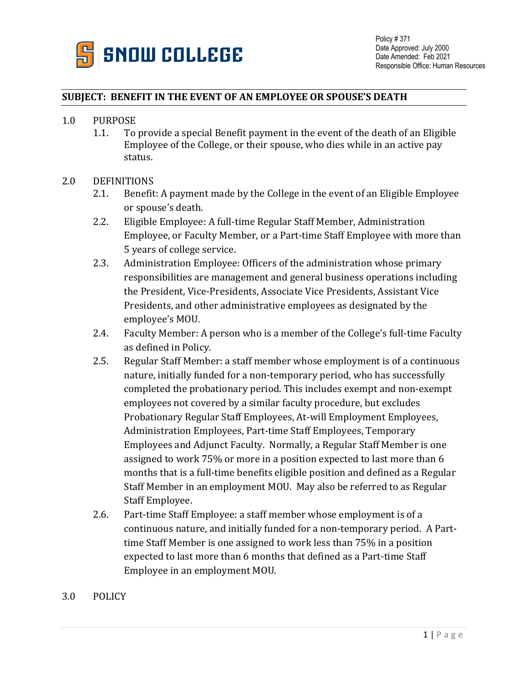

## **SUBJECT: BENEFIT IN THE EVENT OF AN EMPLOYEE OR SPOUSE'S DEATH**

- 1.0 PURPOSE
	- 1.1. To provide a special Benefit payment in the event of the death of an Eligible Employee of the College, or their spouse, who dies while in an active pay status.

## 2.0 DEFINITIONS

- 2.1. Benefit: A payment made by the College in the event of an Eligible Employee or spouse's death.
- 2.2. Eligible Employee: A full-time Regular Staff Member, Administration Employee, or Faculty Member, or a Part-time Staff Employee with more than 5 years of college service.
- 2.3. Administration Employee: Officers of the administration whose primary responsibilities are management and general business operations including the President, Vice-Presidents, Associate Vice Presidents, Assistant Vice Presidents, and other administrative employees as designated by the employee's MOU.
- 2.4. Faculty Member: A person who is a member of the College's full-time Faculty as defined in Policy.
- 2.5. Regular Staff Member: a staff member whose employment is of a continuous nature, initially funded for a non-temporary period, who has successfully completed the probationary period. This includes exempt and non-exempt employees not covered by a similar faculty procedure, but excludes Probationary Regular Staff Employees, At-will Employment Employees, Administration Employees, Part-time Staff Employees, Temporary Employees and Adjunct Faculty. Normally, a Regular Staff Member is one assigned to work 75% or more in a position expected to last more than 6 months that is a full-time benefits eligible position and defined as a Regular Staff Member in an employment MOU. May also be referred to as Regular Staff Employee.
- 2.6. Part-time Staff Employee: a staff member whose employment is of a continuous nature, and initially funded for a non-temporary period. A Parttime Staff Member is one assigned to work less than 75% in a position expected to last more than 6 months that defined as a Part-time Staff Employee in an employment MOU.
- 3.0 POLICY